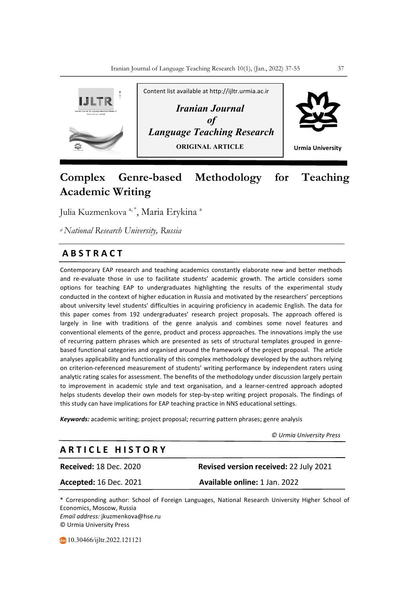

# **Complex Genre-based Methodology for Teaching Academic Writing**

Julia Kuzmenkova <sup>a, \*</sup>, Maria Erykina <sup>a</sup>

*a National Research University, Russia*

## **A B S T R A C T**

Contemporary EAP research and teaching academics constantly elaborate new and better methods and re-evaluate those in use to facilitate students' academic growth. The article considers some options for teaching EAP to undergraduates highlighting the results of the experimental study conducted in the context of higher education in Russia and motivated by the researchers' perceptions about university level students' difficulties in acquiring proficiency in academic English. The data for this paper comes from 192 undergraduates' research project proposals. The approach offered is largely in line with traditions of the genre analysis and combines some novel features and conventional elements of the genre, product and process approaches. The innovations imply the use of recurring pattern phrases which are presented as sets of structural templates grouped in genrebased functional categories and organised around the framework of the project proposal. The article analyses applicability and functionality of this complex methodology developed by the authors relying on criterion-referenced measurement of students' writing performance by independent raters using analytic rating scales for assessment. The benefits of the methodology under discussion largely pertain to improvement in academic style and text organisation, and a learner-centred approach adopted helps students develop their own models for step-by-step writing project proposals. The findings of this study can have implications for EAP teaching practice in NNS educational settings.

*Keywords:* academic writing; project proposal; recurring pattern phrases; genre analysis

 *© Urmia University Press*

## **A R T I C L E H I S T O R Y**

**Received:** 18 Dec. 2020 **Revised version received:** 22 July 2021

**Accepted:** 16 Dec. 2021 **Available online:** 1 Jan. 2022

\* Corresponding author: School of Foreign Languages, National Research University Higher School of Economics, Moscow, Russia *Email address:* jkuzmenkova@hse.ru © Urmia University Press

10.30466/ijltr.2022.121121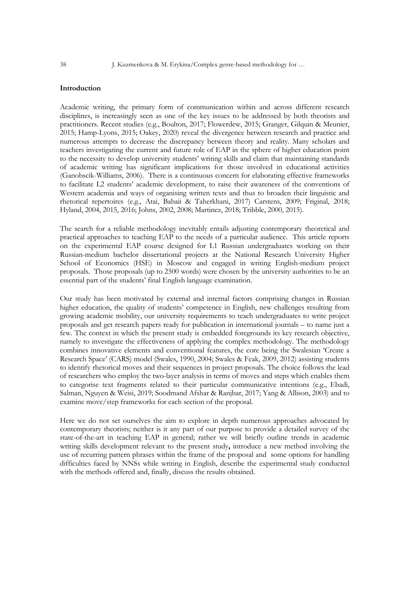### **Introduction**

Academic writing, the primary form of communication within and across different research disciplines, is increasingly seen as one of the key issues to be addressed by both theorists and practitioners. Recent studies (e.g., Boulton, 2017; Flowerdew, 2015; Granger, Gilquin & Meunier, 2015; Hamp-Lyons, 2015; Oakey, 2020) reveal the divergence between research and practice and numerous attempts to decrease the discrepancy between theory and reality. Many scholars and teachers investigating the current and future role of EAP in the sphere of higher education point to the necessity to develop university students' writing skills and claim that maintaining standards of academic writing has significant implications for those involved in educational activities (Ganobscik-Williams, 2006). There is a continuous concern for elaborating effective frameworks to facilitate L2 students' academic development, to raise their awareness of the conventions of Western academia and ways of organising written texts and thus to broaden their linguistic and rhetorical repertoires (e.g., Atai, Babaii & Taherkhani, 2017) Carstens, 2009; Friginal, 2018; Hyland, 2004, 2015, 2016; Johns, 2002, 2008; Martinez, 2018; Tribble, 2000, 2015).

The search for a reliable methodology inevitably entails adjusting contemporary theoretical and practical approaches to teaching EAP to the needs of a particular audience. This article reports on the experimental EAP course designed for L1 Russian undergraduates working on their Russian-medium bachelor dissertational projects at the National Research University Higher School of Economics (HSE) in Moscow and engaged in writing English-medium project proposals. Those proposals (up to 2500 words) were chosen by the university authorities to be an essential part of the students' final English language examination.

Our study has been motivated by external and internal factors comprising changes in Russian higher education, the quality of students' competence in English, new challenges resulting from growing academic mobility, our university requirements to teach undergraduates to write project proposals and get research papers ready for publication in international journals – to name just a few. The context in which the present study is embedded foregrounds its key research objective, namely to investigate the effectiveness of applying the complex methodology. The methodology combines innovative elements and conventional features, the core being the Swalesian 'Create a Research Space' (CARS) model (Swales, 1990, 2004; Swales & Feak, 2009, 2012) assisting students to identify rhetorical moves and their sequences in project proposals. The choice follows the lead of researchers who employ the two-layer analysis in terms of moves and steps which enables them to categorise text fragments related to their particular communicative intentions (e.g., Ebadi, Salman, Nguyen & Weisi, 2019; Soodmand Afshar & Ranjbar, 2017; Yang & Allison, 2003) and to examine move/step frameworks for each section of the proposal.

Here we do not set ourselves the aim to explore in depth numerous approaches advocated by contemporary theorists; neither is it any part of our purpose to provide a detailed survey of the state-of-the-art in teaching EAP in general; rather we will briefly outline trends in academic writing skills development relevant to the present study**,** introduce a new method involving the use of recurring pattern phrases within the frame of the proposal andsome options for handling difficulties faced by NNSs while writing in English, describe the experimental study conducted with the methods offered and, finally, discuss the results obtained.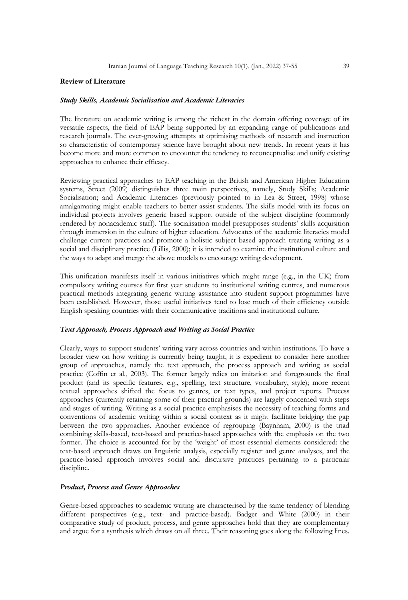#### **Review of Literature**

#### *Study Skills, Academic Socialisation and Academic Literacies*

The literature on academic writing is among the richest in the domain offering coverage of its versatile aspects, the field of EAP being supported by an expanding range of publications and research journals. The ever-growing attempts at optimising methods of research and instruction so characteristic of contemporary science have brought about new trends. In recent years it has become more and more common to encounter the tendency to reconceptualise and unify existing approaches to enhance their efficacy.

Reviewing practical approaches to EAP teaching in the British and American Higher Education systems, Street (2009) distinguishes three main perspectives, namely, Study Skills; Academic Socialisation; and Academic Literacies (previously pointed to in Lea & Street, 1998) whose amalgamating might enable teachers to better assist students. The skills model with its focus on individual projects involves generic based support outside of the subject discipline (commonly rendered by nonacademic staff). The socialisation model presupposes students' skills acquisition through immersion in the culture of higher education. Advocates of the academic literacies model challenge current practices and promote a holistic subject based approach treating writing as a social and disciplinary practice (Lillis, 2000); it is intended to examine the institutional culture and the ways to adapt and merge the above models to encourage writing development.

This unification manifests itself in various initiatives which might range (e.g., in the UK) from compulsory writing courses for first year students to institutional writing centres, and numerous practical methods integrating generic writing assistance into student support programmes have been established. However, those useful initiatives tend to lose much of their efficiency outside English speaking countries with their communicative traditions and institutional culture.

## *Text Approach, Process Approach and Writing as Social Practice*

Clearly, ways to support students' writing vary across countries and within institutions. To have a broader view on how writing is currently being taught, it is expedient to consider here another group of approaches, namely the text approach, the process approach and writing as social practice (Coffin et al., 2003). The former largely relies on imitation and foregrounds the final product (and its specific features, e.g., spelling, text structure, vocabulary, style); more recent textual approaches shifted the focus to genres, or text types, and project reports. Process approaches (currently retaining some of their practical grounds) are largely concerned with steps and stages of writing. Writing as a social practice emphasises the necessity of teaching forms and conventions of academic writing within a social context as it might facilitate bridging the gap between the two approaches. Another evidence of regrouping (Baynham, 2000) is the triad combining skills-based, text-based and practice-based approaches with the emphasis on the two former. The choice is accounted for by the 'weight' of most essential elements considered: the text-based approach draws on linguistic analysis, especially register and genre analyses, and the practice-based approach involves social and discursive practices pertaining to a particular discipline.

#### *Product***,** *Process and Genre Approaches*

Genre-based approaches to academic writing are characterised by the same tendency of blending different perspectives (e.g., text- and practice-based). Badger and White (2000) in their comparative study of product, process, and genre approaches hold that they are complementary and argue for a synthesis which draws on all three. Their reasoning goes along the following lines.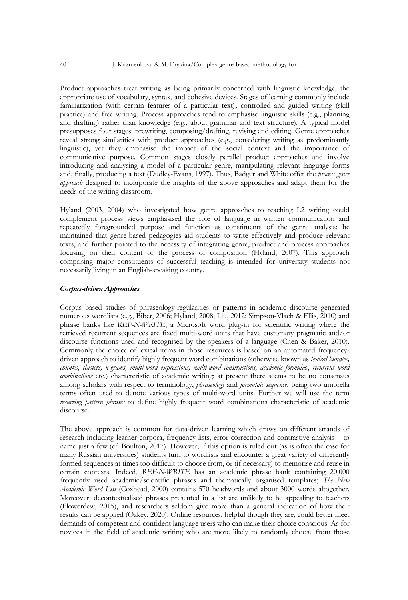Product approaches treat writing as being primarily concerned with linguistic knowledge, the appropriate use of vocabulary, syntax, and cohesive devices. Stages of learning commonly include familiarization (with certain features of a particular text)**,** controlled and guided writing (skill practice) and free writing. Process approaches tend to emphasise linguistic skills (e.g., planning and drafting) rather than knowledge (e.g., about grammar and text structure). A typical model presupposes four stages: prewriting, composing/drafting, revising and editing. Genre approaches reveal strong similarities with product approaches (e.g., considering writing as predominantly linguistic), yet they emphasise the impact of the social context and the importance of communicative purpose. Common stages closely parallel product approaches and involve introducing and analysing a model of a particular genre, manipulating relevant language forms and, finally, producing a text (Dudley-Evans, 1997). Thus, Badger and White offer the *process genre approach* designed to incorporate the insights of the above approaches and adapt them for the needs of the writing classroom.

Hyland (2003, 2004) who investigated how genre approaches to teaching L2 writing could complement process views emphasised the role of language in written communication and repeatedly foregrounded purpose and function as constituents of the genre analysis; he maintained that genre-based pedagogies aid students to write effectively and produce relevant texts, and further pointed to the necessity of integrating genre, product and process approaches focusing on their content or the process of composition (Hyland, 2007). This approach comprising major constituents of successful teaching is intended for university students not necessarily living in an English-speaking country.

#### *Corpus-driven Approaches*

Corpus based studies of phraseology-regularities or patterns in academic discourse generated numerous wordlists (e.g., Biber, 2006; Hyland, 2008; Liu, 2012; Simpson-Vlach & Ellis, 2010) and phrase banks like *REF-N-WRITE*, a Microsoft word plug-in for scientific writing where the retrieved recurrent sequences are fixed multi-word units that have customary pragmatic and/or discourse functions used and recognised by the speakers of a language (Chen & Baker, 2010). Commonly the choice of lexical items in those resources is based on an automated frequencydriven approach to identify highly frequent word combinations (otherwise known as *lexical bundles, chunks*, *clusters, n-grams, multi-word expressions, multi-word constructions, academic formula*s, *recurrent word combinations* etc.) characteristic of academic writing; at present there seems to be no consensus among scholars with respect to terminology, *phraseology* and *formulaic sequences* being two umbrella terms often used to denote various types of multi-word units. Further we will use the term *recurring pattern phrases* to define highly frequent word combinations characteristic of academic discourse.

The above approach is common for data-driven learning which draws on different strands of research including learner corpora, frequency lists, error correction and contrastive analysis – to name just a few (cf. Boulton, 2017). However, if this option is ruled out (as is often the case for many Russian universities) students turn to wordlists and encounter a great variety of differently formed sequences at times too difficult to choose from, or (if necessary) to memorise and reuse in certain contexts. Indeed, *REF-N-WRITE* has an academic phrase bank containing 20,000 frequently used academic/scientific phrases and thematically organised templates; *The New Academic Word List* (Coxhead, 2000) contains 570 headwords and about 3000 words altogether. Moreover, decontextualised phrases presented in a list are unlikely to be appealing to teachers (Flowerdew, 2015), and researchers seldom give more than a general indication of how their results can be applied (Oakey, 2020). Online resources, helpful though they are, could better meet demands of competent and confident language users who can make their choice conscious. As for novices in the field of academic writing who are more likely to randomly choose from those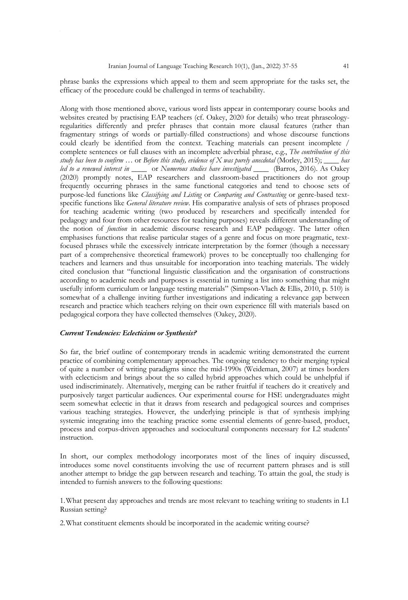phrase banks the expressions which appeal to them and seem appropriate for the tasks set, the efficacy of the procedure could be challenged in terms of teachability.

Along with those mentioned above, various word lists appear in contemporary course books and websites created by practising EAP teachers (cf. Oakey, 2020 for details) who treat phraseologyregularities differently and prefer phrases that contain more clausal features (rather than fragmentary strings of words or partially-filled constructions) and whose discourse functions could clearly be identified from the context. Teaching materials can present incomplete / complete sentences or full clauses with an incomplete adverbial phrase, e.g., *The contribution of this study has been to confirm …* or *Before this study, evidence of X was purely anecdotal* (Morley, 2015); \_\_\_\_ *has led to a renewed interest in* \_\_\_\_ or *Numerous studies have investigated \_\_\_\_* (Barros, 2016). As Oakey (2020) promptly notes, EAP researchers and classroom-based practitioners do not group frequently occurring phrases in the same functional categories and tend to choose sets of purpose-led functions like *Classifying and Listing* or *Comparing and Contrasting* or genre-based textspecific functions like *General literature review*. His comparative analysis of sets of phrases proposed for teaching academic writing (two produced by researchers and specifically intended for pedagogy and four from other resources for teaching purposes) reveals different understanding of the notion of *function* in academic discourse research and EAP pedagogy. The latter often emphasises functions that realise particular stages of a genre and focus on more pragmatic, textfocused phrases while the excessively intricate interpretation by the former (though a necessary part of a comprehensive theoretical framework) proves to be conceptually too challenging for teachers and learners and thus unsuitable for incorporation into teaching materials. The widely cited conclusion that "functional linguistic classification and the organisation of constructions according to academic needs and purposes is essential in turning a list into something that might usefully inform curriculum or language testing materials" (Simpson-Vlach & Ellis, 2010, p. 510) is somewhat of a challenge inviting further investigations and indicating a relevance gap between research and practice which teachers relying on their own experience fill with materials based on pedagogical corpora they have collected themselves (Oakey, 2020).

#### *Current Tendencies: Eclecticism or Synthesis?*

So far, the brief outline of contemporary trends in academic writing demonstrated the current practice of combining complementary approaches. The ongoing tendency to their merging typical of quite a number of writing paradigms since the mid-1990s (Weideman, 2007) at times borders with eclecticism and brings about the so called hybrid approaches which could be unhelpful if used indiscriminately. Alternatively, merging can be rather fruitful if teachers do it creatively and purposively target particular audiences. Our experimental course for HSE undergraduates might seem somewhat eclectic in that it draws from research and pedagogical sources and comprises various teaching strategies. However, the underlying principle is that of synthesis implying systemic integrating into the teaching practice some essential elements of genre-based, product, process and corpus-driven approaches and sociocultural components necessary for L2 students' instruction.

In short, our complex methodology incorporates most of the lines of inquiry discussed, introduces some novel constituents involving the use of recurrent pattern phrases and is still another attempt to bridge the gap between research and teaching. To attain the goal, the study is intended to furnish answers to the following questions:

1.What present day approaches and trends are most relevant to teaching writing to students in L1 Russian setting?

2.What constituent elements should be incorporated in the academic writing course?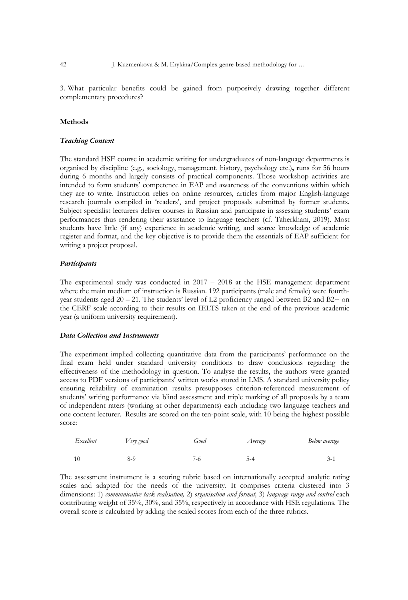3. What particular benefits could be gained from purposively drawing together different complementary procedures?

### **Methods**

#### *Teaching Context*

The standard HSE course in academic writing for undergraduates of non-language departments is organised by discipline (e.g., sociology, management, history, psychology etc.)**,** runs for 56 hours during 6 months and largely consists of practical components. Those workshop activities are intended to form students' competence in EAP and awareness of the conventions within which they are to write. Instruction relies on online resources, articles from major English-language research journals compiled in 'readers', and project proposals submitted by former students. Subject specialist lecturers deliver courses in Russian and participate in assessing students' exam performances thus rendering their assistance to language teachers (cf. Taherkhani, 2019). Most students have little (if any) experience in academic writing, and scarce knowledge of academic register and format, and the key objective is to provide them the essentials of EAP sufficient for writing a project proposal.

#### *Participants*

The experimental study was conducted in  $2017 - 2018$  at the HSE management department where the main medium of instruction is Russian. 192 participants (male and female) were fourthyear students aged 20 – 21. The students' level of L2 proficiency ranged between B2 and B2+ on the CERF scale according to their results on IELTS taken at the end of the previous academic year (a uniform university requirement).

#### *Data Collection and Instruments*

The experiment implied collecting quantitative data from the participants' performance on the final exam held under standard university conditions to draw conclusions regarding the effectiveness of the methodology in question. To analyse the results, the authors were granted access to PDF versions of participants' written works stored in LMS. A standard university policy ensuring reliability of examination results presupposes criterion-referenced measurement of students' writing performance via blind assessment and triple marking of all proposals by a team of independent raters (working at other departments) each including two language teachers and one content lecturer. Results are scored on the ten-point scale, with 10 being the highest possible score:

| Excellent | Very good | Good  | Average | Below average |
|-----------|-----------|-------|---------|---------------|
| -10       | 8-9       | $7-6$ |         |               |

The assessment instrument is a scoring rubric based on internationally accepted analytic rating scales and adapted for the needs of the university. It comprises criteria clustered into 3 dimensions: 1) *communicative task realisation,* 2) *organisation and format,* 3) *language range and control* each contributing weight of 35%, 30%, and 35%, respectively in accordance with HSE regulations. The overall score is calculated by adding the scaled scores from each of the three rubrics.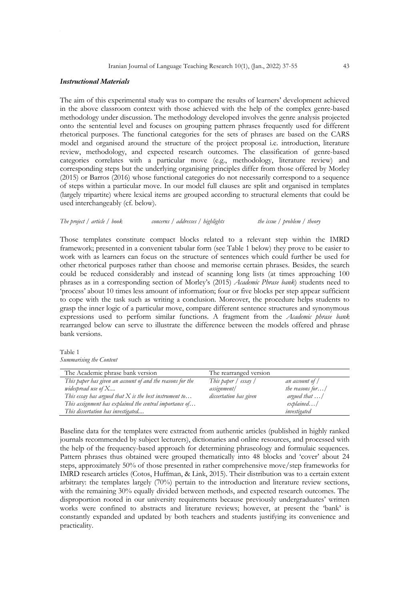#### *Instructional Materials*

The aim of this experimental study was to compare the results of learners' development achieved in the above classroom context with those achieved with the help of the complex genre-based methodology under discussion. The methodology developed involves the genre analysis projected onto the sentential level and focuses on grouping pattern phrases frequently used for different rhetorical purposes. The functional categories for the sets of phrases are based on the CARS model and organised around the structure of the project proposal i.e. introduction, literature review, methodology, and expected research outcomes. The classification of genre-based categories correlates with a particular move (e.g., methodology, literature review) and corresponding steps but the underlying organising principles differ from those offered by Morley (2015) or Barros (2016) whose functional categories do not necessarily correspond to a sequence of steps within a particular move. In our model full clauses are split and organised in templates (largely tripartite) where lexical items are grouped according to structural elements that could be used interchangeably (cf. below).

#### *The project / article / book concerns / addresses / highlights the issue / problem / theory*

Those templates constitute compact blocks related to a relevant step within the IMRD framework; presented in a convenient tabular form (see Table 1 below) they prove to be easier to work with as learners can focus on the structure of sentences which could further be used for other rhetorical purposes rather than choose and memorise certain phrases. Besides, the search could be reduced considerably and instead of scanning long lists (at times approaching 100 phrases as in a corresponding section of Morley's (2015) *Academic Phrase bank*) students need to 'process' about 10 times less amount of information; four or five blocks per step appear sufficient to cope with the task such as writing a conclusion. Moreover, the procedure helps students to grasp the inner logic of a particular move, compare different sentence structures and synonymous expressions used to perform similar functions. A fragment from the *Academic phrase bank* rearranged below can serve to illustrate the difference between the models offered and phrase bank versions.

#### Table 1 *Summarising the Content*

| The Academic phrase bank version                           | The rearranged version |                      |
|------------------------------------------------------------|------------------------|----------------------|
| This paper has given an account of and the reasons for the | This paper / essay /   | an account of /      |
| widespread use of $X$                                      | assignment/            | the reasons for/     |
| This essay has argued that $X$ is the best instrument to   | dissertation has given | argued that $\ldots$ |
| This assignment has explained the central importance of    |                        | explained/           |
| This dissertation has investigated                         |                        | investigated         |

Baseline data for the templates were extracted from authentic articles (published in highly ranked journals recommended by subject lecturers), dictionaries and online resources, and processed with the help of the frequency-based approach for determining phraseology and formulaic sequences. Pattern phrases thus obtained were grouped thematically into 48 blocks and 'cover' about 24 steps, approximately 50% of those presented in rather comprehensive move/step frameworks for IMRD research articles (Cotos, Huffman, & Link, 2015). Their distribution was to a certain extent arbitrary: the templates largely (70%) pertain to the introduction and literature review sections, with the remaining 30% equally divided between methods, and expected research outcomes. The disproportion rooted in our university requirements because previously undergraduates' written works were confined to abstracts and literature reviews; however, at present the 'bank' is constantly expanded and updated by both teachers and students justifying its convenience and practicality.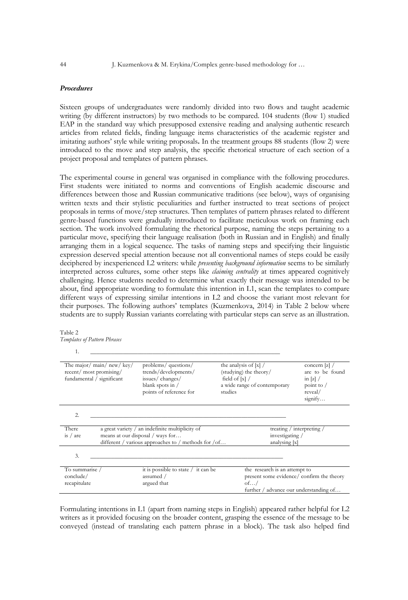## *Procedures*

Sixteen groups of undergraduates were randomly divided into two flows and taught academic writing (by different instructors) by two methods to be compared. 104 students (flow 1) studied EAP in the standard way which presupposed extensive reading and analysing authentic research articles from related fields, finding language items characteristics of the academic register and imitating authors' style while writing proposals**.** In the treatment groups 88 students (flow 2) were introduced to the move and step analysis, the specific rhetorical structure of each section of a project proposal and templates of pattern phrases.

The experimental course in general was organised in compliance with the following procedures. First students were initiated to norms and conventions of English academic discourse and differences between those and Russian communicative traditions (see below), ways of organising written texts and their stylistic peculiarities and further instructed to treat sections of project proposals in terms of move/step structures. Then templates of pattern phrases related to different genre-based functions were gradually introduced to facilitate meticulous work on framing each section. The work involved formulating the rhetorical purpose, naming the steps pertaining to a particular move, specifying their language realisation (both in Russian and in English) and finally arranging them in a logical sequence. The tasks of naming steps and specifying their linguistic expression deserved special attention because not all conventional names of steps could be easily deciphered by inexperienced L2 writers: while *presenting background information* seems to be similarly interpreted across cultures, some other steps like *claiming centrality* at times appeared cognitively challenging. Hence students needed to determine what exactly their message was intended to be about, find appropriate wording to formulate this intention in L1, scan the templates to compare different ways of expressing similar intentions in L2 and choose the variant most relevant for their purposes. The following authors' templates (Kuzmenkova, 2014) in Table 2 below where students are to supply Russian variants correlating with particular steps can serve as an illustration.

<sup>1.</sup> \_\_\_\_\_\_\_\_\_\_\_\_\_\_\_\_\_\_\_\_\_\_\_\_\_\_\_\_\_\_\_\_\_\_\_\_\_\_\_\_\_\_\_\_\_\_\_\_\_\_\_\_\_\_\_\_\_\_\_\_\_\_\_\_

| The major/main/new/key/<br>recent/ most promising/<br>fundamental / significant | problems/ questions/<br>trends/developments/<br>issues/changes/<br>blank spots in /<br>points of reference for | the analysis of $[x]/$<br>(studying) the theory/<br>field of $[x]/$<br>a wide range of contemporary<br>studies | concern $[z]$ /<br>are to be found<br>in $ z $ /<br>point to $/$<br>reveal/ |
|---------------------------------------------------------------------------------|----------------------------------------------------------------------------------------------------------------|----------------------------------------------------------------------------------------------------------------|-----------------------------------------------------------------------------|
|                                                                                 |                                                                                                                |                                                                                                                | signify                                                                     |
| 2.                                                                              |                                                                                                                |                                                                                                                |                                                                             |
| There                                                                           | a great variety / an indefinite multiplicity of                                                                |                                                                                                                | treating / interpreting /                                                   |
| is $/$ are                                                                      | means at our disposal / ways for                                                                               |                                                                                                                | investigating /                                                             |
|                                                                                 | different / various approaches to / methods for /of                                                            |                                                                                                                | analysing [x]                                                               |
| 3.                                                                              |                                                                                                                |                                                                                                                |                                                                             |
| To summarise /                                                                  | it is possible to state $\frac{1}{1}$ it can be                                                                |                                                                                                                | the research is an attempt to                                               |
| conclude/                                                                       | assumed /                                                                                                      |                                                                                                                | present some evidence/confirm the theory                                    |
| recapitulate                                                                    | argued that                                                                                                    | of/                                                                                                            |                                                                             |
|                                                                                 |                                                                                                                |                                                                                                                | further / advance our understanding of                                      |

Formulating intentions in L1 (apart from naming steps in English) appeared rather helpful for L2 writers as it provided focusing on the broader content, grasping the essence of the message to be conveyed (instead of translating each pattern phrase in a block). The task also helped find

Table 2 *Templates of Pattern Phrases*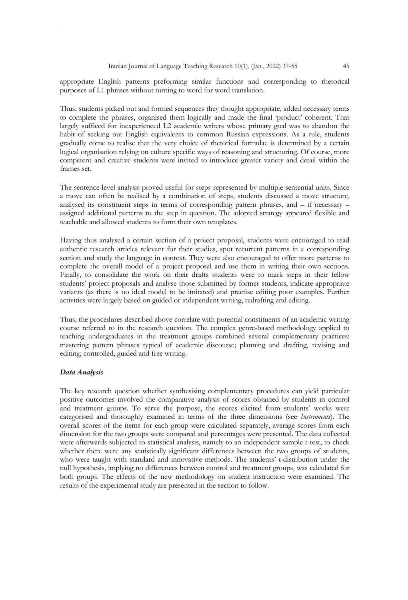appropriate English patterns preforming similar functions and corresponding to rhetorical purposes of L1 phrases without turning to word for word translation.

Thus, students picked out and formed sequences they thought appropriate, added necessary terms to complete the phrases, organised them logically and made the final 'product' coherent. That largely sufficed for inexperienced L2 academic writers whose primary goal was to abandon the habit of seeking out English equivalents to common Russian expressions. As a rule, students gradually come to realise that the very choice of rhetorical formulae is determined by a certain logical organisation relying on culture specific ways of reasoning and structuring. Of course, more competent and creative students were invited to introduce greater variety and detail within the frames set.

The sentence-level analysis proved useful for steps represented by multiple sentential units. Since a move can often be realised by a combination of steps, students discussed a move structure, analysed its constituent steps in terms of corresponding pattern phrases, and – if necessary – assigned additional patterns to the step in question. The adopted strategy appeared flexible and teachable and allowed students to form their own templates.

Having thus analysed a certain section of a project proposal, students were encouraged to read authentic research articles relevant for their studies, spot recurrent patterns in a corresponding section and study the language in context. They were also encouraged to offer more patterns to complete the overall model of a project proposal and use them in writing their own sections. Finally, to consolidate the work on their drafts students were to mark steps in their fellow students' project proposals and analyse those submitted by former students, indicate appropriate variants (as there is no ideal model to be imitated) and practise editing poor examples. Further activities were largely based on guided or independent writing, redrafting and editing.

Thus, the procedures described above correlate with potential constituents of an academic writing course referred to in the research question. The complex genre-based methodology applied to teaching undergraduates in the treatment groups combined several complementary practices: mastering pattern phrases typical of academic discourse; planning and drafting, revising and editing; controlled, guided and free writing.

### *Data Analysis*

The key research question whether synthesising complementary procedures can yield particular positive outcomes involved the comparative analysis of scores obtained by students in control and treatment groups. To serve the purpose, the scores elicited from students' works were categorised and thoroughly examined in terms of the three dimensions (see *Instruments*). The overall scores of the items for each group were calculated separately, average scores from each dimension for the two groups were compared and percentages were presented. The data collected were afterwards subjected to statistical analysis, namely to an independent sample t-test, to check whether there were any statistically significant differences between the two groups of students, who were taught with standard and innovative methods. The students' t-distribution under the null hypothesis, implying no differences between control and treatment groups, was calculated for both groups. The effects of the new methodology on student instruction were examined. The results of the experimental study are presented in the section to follow.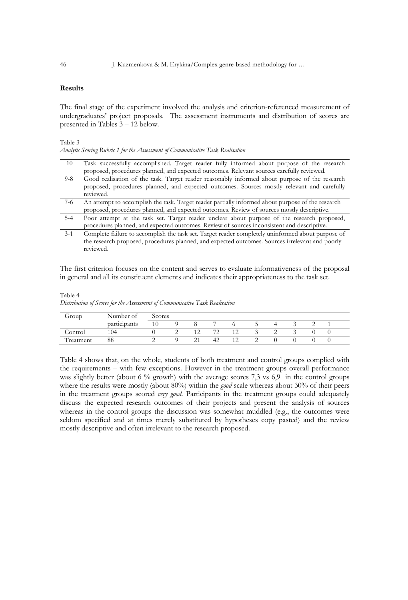## **Results**

The final stage of the experiment involved the analysis and criterion-referenced measurement of undergraduates' project proposals. The assessment instruments and distribution of scores are presented in Tables 3 – 12 below.

Table 3

*Analytic Scoring Rubric 1 for the Assessment of Communicative Task Realisation*

| 10      | Task successfully accomplished. Target reader fully informed about purpose of the research        |
|---------|---------------------------------------------------------------------------------------------------|
|         | proposed, procedures planned, and expected outcomes. Relevant sources carefully reviewed.         |
| $9 - 8$ | Good realisation of the task. Target reader reasonably informed about purpose of the research     |
|         | proposed, procedures planned, and expected outcomes. Sources mostly relevant and carefully        |
|         | reviewed.                                                                                         |
| $7-6$   | An attempt to accomplish the task. Target reader partially informed about purpose of the research |
|         | proposed, procedures planned, and expected outcomes. Review of sources mostly descriptive.        |
| $5 - 4$ | Poor attempt at the task set. Target reader unclear about purpose of the research proposed,       |
|         | procedures planned, and expected outcomes. Review of sources inconsistent and descriptive.        |
| $3 - 1$ | Complete failure to accomplish the task set. Target reader completely uninformed about purpose of |
|         | the research proposed, procedures planned, and expected outcomes. Sources irrelevant and poorly   |
|         | reviewed.                                                                                         |

The first criterion focuses on the content and serves to evaluate informativeness of the proposal in general and all its constituent elements and indicates their appropriateness to the task set.

Table 4 *Distribution of Scores for the Assessment of Communicative Task Realisation*

| Group     | Number of                |                | Scores |  |    |                |  |  |  |  |  |  |
|-----------|--------------------------|----------------|--------|--|----|----------------|--|--|--|--|--|--|
|           | $\cdots$<br>participants | 1 <sup>0</sup> |        |  |    |                |  |  |  |  |  |  |
| Control   | 104                      |                |        |  | 70 |                |  |  |  |  |  |  |
| Treatment | 88                       |                |        |  | 42 | $\overline{ }$ |  |  |  |  |  |  |

Table 4 shows that, on the whole, students of both treatment and control groups complied with the requirements – with few exceptions. However in the treatment groups overall performance was slightly better (about 6 % growth) with the average scores 7,3 vs 6,9 in the control groups where the results were mostly (about 80%) within the *good* scale whereas about 30% of their peers in the treatment groups scored *very good*. Participants in the treatment groups could adequately discuss the expected research outcomes of their projects and present the analysis of sources whereas in the control groups the discussion was somewhat muddled (e.g., the outcomes were seldom specified and at times merely substituted by hypotheses copy pasted) and the review mostly descriptive and often irrelevant to the research proposed.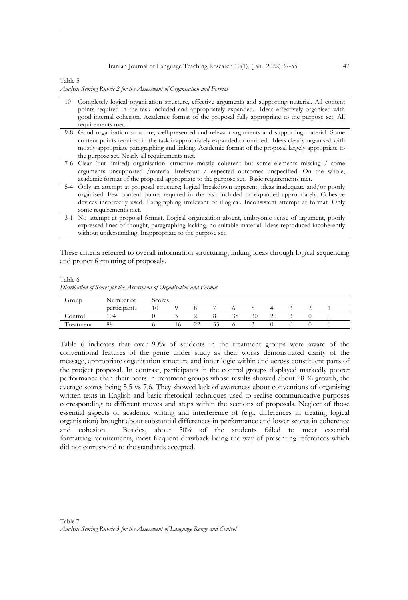#### Iranian Journal of Language Teaching Research 10(1), (Jan., 2022) 37-55 47

Table 5

*Analytic Scoring Rubric 2 for the Assessment of Organisation and Format*

| 10 | Completely logical organisation structure, effective arguments and supporting material. All content                                                                                                                                      |
|----|------------------------------------------------------------------------------------------------------------------------------------------------------------------------------------------------------------------------------------------|
|    | points required in the task included and appropriately expanded. Ideas effectively organised with                                                                                                                                        |
|    | good internal cohesion. Academic format of the proposal fully appropriate to the purpose set. All                                                                                                                                        |
|    | requirements met.                                                                                                                                                                                                                        |
|    | 9-8 Good organisation structure; well-presented and relevant arguments and supporting material. Some                                                                                                                                     |
|    | content points required in the task inappropriately expanded or omitted. Ideas clearly organised with                                                                                                                                    |
|    | mostly appropriate paragraphing and linking. Academic format of the proposal largely appropriate to                                                                                                                                      |
|    | the purpose set. Nearly all requirements met.                                                                                                                                                                                            |
|    | 7-6 Clear (but limited) organisation; structure mostly coherent but some elements missing / some                                                                                                                                         |
|    | arguments unsupported /material irrelevant / expected outcomes unspecified. On the whole,                                                                                                                                                |
|    | academic format of the proposal appropriate to the purpose set. Basic requirements met.                                                                                                                                                  |
|    | 5-4 Only an attempt at proposal structure; logical breakdown apparent, ideas inadequate and/or poorly                                                                                                                                    |
|    | organised. Few content points required in the task included or expanded appropriately. Cohesive                                                                                                                                          |
|    | devices incorrectly used. Paragraphing irrelevant or illogical. Inconsistent attempt at format. Only                                                                                                                                     |
|    | some requirements met.                                                                                                                                                                                                                   |
|    | $\alpha$ and $\alpha$ is the state of the state of the state $\alpha$ is the state of the state of the state of the state of the state of the state of the state of the state of the state of the state of the state of the state of the |

3-1 No attempt at proposal format. Logical organisation absent, embryonic sense of argument, poorly expressed lines of thought, paragraphing lacking, no suitable material. Ideas reproduced incoherently without understanding. Inappropriate to the purpose set.

These criteria referred to overall information structuring, linking ideas through logical sequencing and proper formatting of proposals.

Table 6 *Distribution of Scores for the Assessment of Organisation and Format*

| Group                    | Number of    | Scores |   |    |    |    |  |  |   |  |  |
|--------------------------|--------------|--------|---|----|----|----|--|--|---|--|--|
|                          | participants |        |   |    |    |    |  |  | ∸ |  |  |
| Control                  | 104          |        | ∸ |    | 38 | 30 |  |  |   |  |  |
| <b>FILE</b><br>Freatment | 88           |        |   | 35 |    |    |  |  |   |  |  |

Table 6 indicates that over 90% of students in the treatment groups were aware of the conventional features of the genre under study as their works demonstrated clarity of the message, appropriate organisation structure and inner logic within and across constituent parts of the project proposal. In contrast, participants in the control groups displayed markedly poorer performance than their peers in treatment groups whose results showed about 28 % growth, the average scores being 5,5 vs 7,6. They showed lack of awareness about conventions of organising written texts in English and basic rhetorical techniques used to realise communicative purposes corresponding to different moves and steps within the sections of proposals. Neglect of those essential aspects of academic writing and interference of (e.g., differences in treating logical organisation) brought about substantial differences in performance and lower scores in coherence and cohesion. Besides, about 50% of the students failed to meet essential formatting requirements, most frequent drawback being the way of presenting references which did not correspond to the standards accepted.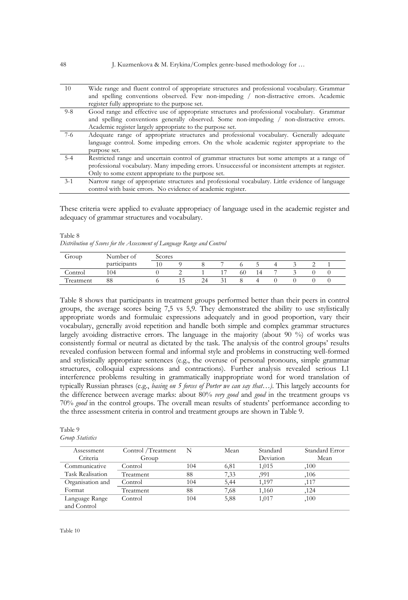| 10      | Wide range and fluent control of appropriate structures and professional vocabulary. Grammar      |
|---------|---------------------------------------------------------------------------------------------------|
|         | and spelling conventions observed. Few non-impeding / non-distractive errors. Academic            |
|         | register fully appropriate to the purpose set.                                                    |
| $9 - 8$ | Good range and effective use of appropriate structures and professional vocabulary. Grammar       |
|         | and spelling conventions generally observed. Some non-impeding / non-distractive errors.          |
|         | Academic register largely appropriate to the purpose set.                                         |
| $7-6$   | Adequate range of appropriate structures and professional vocabulary. Generally adequate          |
|         | language control. Some impeding errors. On the whole academic register appropriate to the         |
|         | purpose set.                                                                                      |
| $5 - 4$ | Restricted range and uncertain control of grammar structures but some attempts at a range of      |
|         | professional vocabulary. Many impeding errors. Unsuccessful or inconsistent attempts at register. |
|         | Only to some extent appropriate to the purpose set.                                               |
| $3 - 1$ | Narrow range of appropriate structures and professional vocabulary. Little evidence of language   |
|         | control with basic errors. No evidence of academic register.                                      |

These criteria were applied to evaluate appropriacy of language used in the academic register and adequacy of grammar structures and vocabulary.

#### Table 8

*Distribution of Scores for the Assessment of Language Range and Control*

| Group     | Number of                | Scores |     |    |        |    |    |  |  |  |  |
|-----------|--------------------------|--------|-----|----|--------|----|----|--|--|--|--|
|           | $\cdots$<br>participants | 10     |     |    |        |    |    |  |  |  |  |
| Control   | 104                      |        |     |    |        | 60 | 14 |  |  |  |  |
| Treatment | 88                       |        | כ 1 | 24 | $\sim$ |    |    |  |  |  |  |

Table 8 shows that participants in treatment groups performed better than their peers in control groups, the average scores being 7,5 vs 5,9. They demonstrated the ability to use stylistically appropriate words and formulaic expressions adequately and in good proportion, vary their vocabulary, generally avoid repetition and handle both simple and complex grammar structures largely avoiding distractive errors. The language in the majority (about 90 %) of works was consistently formal or neutral as dictated by the task. The analysis of the control groups' results revealed confusion between formal and informal style and problems in constructing well-formed and stylistically appropriate sentences (e.g., the overuse of personal pronouns, simple grammar structures, colloquial expressions and contractions). Further analysis revealed serious L1 interference problems resulting in grammatically inappropriate word for word translation of typically Russian phrases (e.g., *basing on 5 forces of Porter we can say that…)*. This largely accounts for the difference between average marks: about 80% *very good* and *good* in the treatment groups vs 70% *good* in the control groups. The overall mean results of students' performance according to the three assessment criteria in control and treatment groups are shown in Table 9.

| Group Statistics |                    |     |      |           |                |
|------------------|--------------------|-----|------|-----------|----------------|
| Assessment       | Control /Treatment | N   | Mean | Standard  | Standard Error |
| Criteria         | Group              |     |      | Deviation | Mean           |
| Communicative    | Control            | 104 | 6,81 | 1,015     | .100           |
| Task Realisation | Treatment          | 88  | 7.33 | .991      | ,106           |
| Organisation and | Control            | 104 | 5,44 | 1,197     | ,117           |
| Format           | Treatment          | 88  | 7,68 | 1,160     | ,124           |
| Language Range   | Control            | 104 | 5,88 | 1,017     | ,100           |
| and Control      |                    |     |      |           |                |

| Table 9 |                         |
|---------|-------------------------|
|         | <b>Group Statistics</b> |

 $T_{\rm eff}$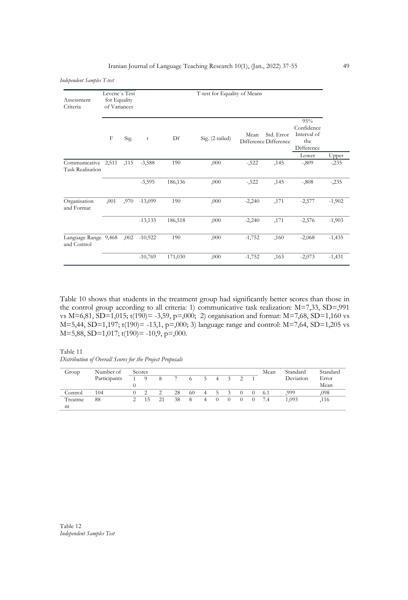### Iranian Journal of Language Teaching Research 10(1), (Jan., 2022) 37-55 49

*Independent Samples T-test*

| Assessment<br>Criteria                         | Levene's Test<br>for Equality<br>of Variances |      |           |         | T-test for Equality of Means |          |                                     |                                                       |          |
|------------------------------------------------|-----------------------------------------------|------|-----------|---------|------------------------------|----------|-------------------------------------|-------------------------------------------------------|----------|
|                                                | F                                             | Sig. | t         | Df      | Sig. (2-tailed)              | Mean     | Std. Error<br>Difference Difference | 95%<br>Confidence<br>Interval of<br>the<br>Difference |          |
|                                                |                                               |      |           |         |                              |          |                                     | Lower                                                 | Upper    |
| Communicative 2,511<br><b>Task Realisation</b> |                                               | ,115 | $-3,588$  | 190     | ,000                         | $-522$   | ,145                                | $-0.809$                                              | $-235$   |
|                                                |                                               |      | $-3,595$  | 186,136 | ,000                         | $-522$   | ,145                                | $-0.808$                                              | $-235$   |
| Organisation<br>and Format                     | ,001                                          | ,970 | $-13,099$ | 190     | ,000                         | $-2,240$ | ,171                                | $-2,577$                                              | $-1,902$ |
|                                                |                                               |      | $-13,133$ | 186,518 | ,000                         | $-2,240$ | ,171                                | $-2,576$                                              | $-1,903$ |
| Language Range 9,468<br>and Control            |                                               | ,002 | $-10,922$ | 190     | ,000                         | $-1,752$ | ,160                                | $-2,068$                                              | $-1,435$ |
|                                                |                                               |      | $-10,769$ | 171,030 | ,000                         | $-1,752$ | ,163                                | $-2,073$                                              | $-1,431$ |

Table 10 shows that students in the treatment group had significantly better scores than those in the control group according to all criteria: 1) communicative task realization: M=7,33, SD=,991 vs M=6,81, SD=1,015; t(190)= -3,59, p=,000; 2) organisation and format: M=7,68, SD=1,160 vs M=5,44, SD=1,197; t(190)= -13,1, p=,000; 3) language range and control: M=7,64, SD=1,205 vs M=5,88, SD=1,017; t(190)= -10,9, p=,000.

Table 11 *Distribution of Overall Scores for the Project Proposals*

| Group   | Number of    | Scores |    |    |    |    |                |  |  |  |          | Mean | Standard  | Standard |
|---------|--------------|--------|----|----|----|----|----------------|--|--|--|----------|------|-----------|----------|
|         | Participants |        |    | 8  |    |    | C.             |  |  |  |          |      | Deviation | Error    |
|         |              |        |    |    |    |    |                |  |  |  |          |      |           | Mean     |
| Control | 104          |        |    | 2  | 28 | 60 | $\overline{4}$ |  |  |  | $\theta$ | 6.1  | .999      | ,098     |
| Treatme | 88           |        | 15 | 21 | 38 | 8  | 4              |  |  |  | $\cup$   | 7.4  | 1.093     | ,116     |
| nt      |              |        |    |    |    |    |                |  |  |  |          |      |           |          |

Table 12 *Independent Samples Test*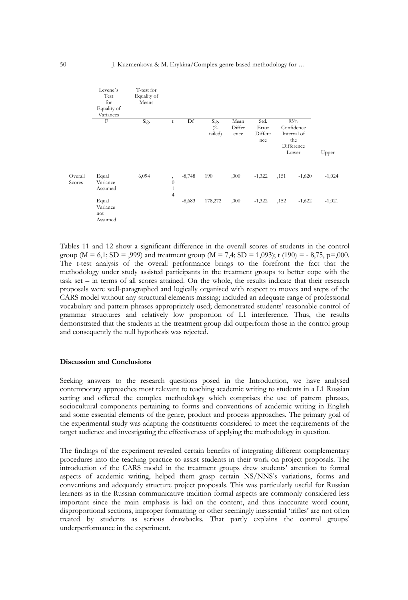

Tables 11 and 12 show a significant difference in the overall scores of students in the control group ( $M = 6,1$ ;  $SD = 0.99$ ) and treatment group ( $M = 7,4$ ;  $SD = 1,093$ ); t (190) = - 8,75, p=0.000. The t-test analysis of the overall performance brings to the forefront the fact that the methodology under study assisted participants in the treatment groups to better cope with the task set – in terms of all scores attained. On the whole, the results indicate that their research proposals were well-paragraphed and logically organised with respect to moves and steps of the CARS model without any structural elements missing; included an adequate range of professional vocabulary and pattern phrases appropriately used; demonstrated students' reasonable control of grammar structures and relatively low proportion of L1 interference. Thus, the results demonstrated that the students in the treatment group did outperform those in the control group and consequently the null hypothesis was rejected.

#### **Discussion and Conclusions**

Seeking answers to the research questions posed in the Introduction, we have analysed contemporary approaches most relevant to teaching academic writing to students in a L1 Russian setting and offered the complex methodology which comprises the use of pattern phrases, sociocultural components pertaining to forms and conventions of academic writing in English and some essential elements of the genre, product and process approaches. The primary goal of the experimental study was adapting the constituents considered to meet the requirements of the target audience and investigating the effectiveness of applying the methodology in question.

The findings of the experiment revealed certain benefits of integrating different complementary procedures into the teaching practice to assist students in their work on project proposals. The introduction of the CARS model in the treatment groups drew students' attention to formal aspects of academic writing, helped them grasp certain NS/NNS's variations, forms and conventions and adequately structure project proposals. This was particularly useful for Russian learners as in the Russian communicative tradition formal aspects are commonly considered less important since the main emphasis is laid on the content, and thus inaccurate word count, disproportional sections, improper formatting or other seemingly inessential 'trifles' are not often treated by students as serious drawbacks. That partly explains the control groups' underperformance in the experiment.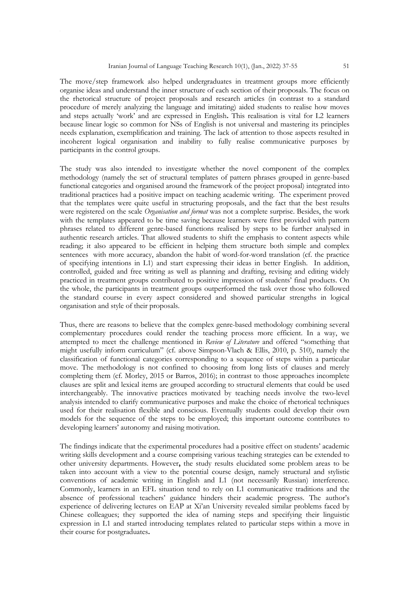The move/step framework also helped undergraduates in treatment groups more efficiently organise ideas and understand the inner structure of each section of their proposals. The focus on the rhetorical structure of project proposals and research articles (in contrast to a standard procedure of merely analyzing the language and imitating) aided students to realise how moves and steps actually 'work' and are expressed in English**.** This realisation is vital for L2 learners because linear logic so common for NSs of English is not universal and mastering its principles needs explanation, exemplification and training. The lack of attention to those aspects resulted in incoherent logical organisation and inability to fully realise communicative purposes by participants in the control groups.

The study was also intended to investigate whether the novel component of the complex methodology (namely the set of structural templates of pattern phrases grouped in genre-based functional categories and organised around the framework of the project proposal) integrated into traditional practices had a positive impact on teaching academic writing. The experiment proved that the templates were quite useful in structuring proposals, and the fact that the best results were registered on the scale *Organisation and format* was not a complete surprise. Besides, the work with the templates appeared to be time saving because learners were first provided with pattern phrases related to different genre-based functions realised by steps to be further analysed in authentic research articles. That allowed students to shift the emphasis to content aspects while reading; it also appeared to be efficient in helping them structure both simple and complex sentences with more accuracy, abandon the habit of word-for-word translation (cf. the practice of specifying intentions in L1) and start expressing their ideas in better English. In addition, controlled, guided and free writing as well as planning and drafting, revising and editing widely practiced in treatment groups contributed to positive impression of students' final products. On the whole, the participants in treatment groups outperformed the task over those who followed the standard course in every aspect considered and showed particular strengths in logical organisation and style of their proposals.

Thus, there are reasons to believe that the complex genre-based methodology combining several complementary procedures could render the teaching process more efficient. In a way, we attempted to meet the challenge mentioned in *Review of Literature* and offered "something that might usefully inform curriculum" (cf. above Simpson-Vlach & Ellis, 2010, p. 510), namely the classification of functional categories corresponding to a sequence of steps within a particular move. The methodology is not confined to choosing from long lists of clauses and merely completing them (cf. Morley, 2015 or Barros, 2016); in contrast to those approaches incomplete clauses are split and lexical items are grouped according to structural elements that could be used interchangeably. The innovative practices motivated by teaching needs involve the two-level analysis intended to clarify communicative purposes and make the choice of rhetorical techniques used for their realisation flexible and conscious. Eventually students could develop their own models for the sequence of the steps to be employed; this important outcome contributes to developing learners' autonomy and raising motivation.

The findings indicate that the experimental procedures had a positive effect on students' academic writing skills development and a course comprising various teaching strategies can be extended to other university departments. However**,** the study results elucidated some problem areas to be taken into account with a view to the potential course design, namely structural and stylistic conventions of academic writing in English and L1 (not necessarily Russian) interference. Commonly, learners in an EFL situation tend to rely on L1 communicative traditions and the absence of professional teachers' guidance hinders their academic progress. The author's experience of delivering lectures on EAP at Xi'an University revealed similar problems faced by Chinese colleagues; they supported the idea of naming steps and specifying their linguistic expression in L1 and started introducing templates related to particular steps within a move in their course for postgraduates**.**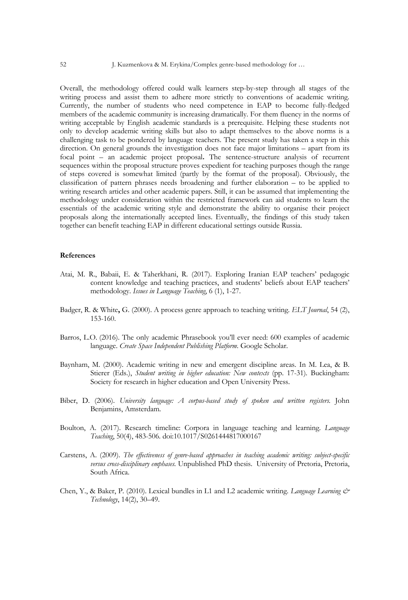Overall, the methodology offered could walk learners step-by-step through all stages of the writing process and assist them to adhere more strictly to conventions of academic writing. Currently, the number of students who need competence in EAP to become fully-fledged members of the academic community is increasing dramatically. For them fluency in the norms of writing acceptable by English academic standards is a prerequisite. Helping these students not only to develop academic writing skills but also to adapt themselves to the above norms is a challenging task to be pondered by language teachers. The present study has taken a step in this direction. On general grounds the investigation does not face major limitations – apart from its focal point – an academic project proposal**.** The sentence-structure analysis of recurrent sequences within the proposal structure proves expedient for teaching purposes though the range of steps covered is somewhat limited (partly by the format of the proposal). Obviously, the classification of pattern phrases needs broadening and further elaboration – to be applied to writing research articles and other academic papers. Still, it can be assumed that implementing the methodology under consideration within the restricted framework can aid students to learn the essentials of the academic writing style and demonstrate the ability to organise their project proposals along the internationally accepted lines. Eventually, the findings of this study taken together can benefit teaching EAP in different educational settings outside Russia.

#### **References**

- Atai, M. R., Babaii, E. & Taherkhani, R. (2017). Exploring Iranian EAP teachers' pedagogic content knowledge and teaching practices, and students' beliefs about EAP teachers' methodology. *Issues in Language Teaching*, 6 (1), 1-27.
- Badger, R. & White**,** G. (2000). A process genre approach to teaching writing. *ELT Journal*, 54 (2), 153-160.
- Barros, L.O. (2016). The only academic Phrasebook you'll ever need: 600 examples of academic language. *Create Space Independent Publishing Platform*. Google Scholar.
- Baynham, M. (2000). Academic writing in new and emergent discipline areas. In M. Lea, & B. Stierer (Eds.), *Student writing in higher education: New contexts* (pp. 17-31)*.* Buckingham: Society for research in higher education and Open University Press.
- Biber, D. (2006). *University language: A corpus-based study of spoken and written registers.* John Benjamins, Amsterdam.
- Boulton, A. (2017). Research timeline: Corpora in language teaching and learning. *Language Teaching*, 50(4), 483-506. doi:10.1017/S0261444817000167
- Carstens, A. (2009). *The effectiveness of genre-based approaches in teaching academic writing: subject-specific versus cross-disciplinary emphases.* Unpublished PhD thesis.University of Pretoria, Pretoria, South Africa.
- Chen, Y., & Baker, P. (2010). Lexical bundles in L1 and L2 academic writing. *Language Learning & Technology*, 14(2), 30–49.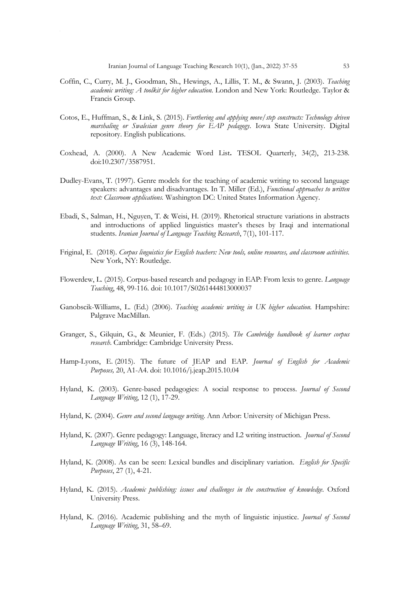- Coffin, C., Curry, M. J., Goodman, Sh., Hewings, A., Lillis, T. M., & Swann, J. (2003). *Teaching academic writing: A toolkit for higher education.* London and New York: Routledge. Taylor & Francis Group.
- Cotos, E., Huffman, S., & Link, S. (2015). *Furthering and applying move/step constructs: Technology driven marshaling or Swalesian genre theory for EAP pedagogy*. Iowa State University. Digital repository. English publications.
- Coxhead, A. (2000). A New Academic Word List**.** TESOL Quarterly, 34(2), 213-238. doi:10.2307/3587951.
- Dudley-Evans, T. (1997). Genre models for the teaching of academic writing to second language speakers: advantages and disadvantages*.* In T. Miller (Ed.), *Functional approaches to written text: Classroom applications.* Washington DC: United States Information Agency.
- Ebadi, S., Salman, H., Nguyen, T. & Weisi, H. (2019). Rhetorical structure variations in abstracts and introductions of applied linguistics master's theses by Iraqi and international students. *Iranian Journal of Language Teaching Research*, 7(1), 101-117.
- Friginal, E. (2018). *Corpus linguistics for English teachers: New tools, online resources, and classroom activities*. New York, NY: Routledge.
- Flowerdew, L. (2015). Corpus-based research and pedagogy in EAP: From lexis to genre. *Language Teaching*, 48, 99-116. doi: 10.1017/S0261444813000037
- Ganobscik-Williams, L. (Ed.) (2006). *Teaching academic writing in UK higher education.* Hampshire: Palgrave MacMillan.
- Granger, S., Gilquin, G., & Meunier, F. (Eds.) (2015). *The Cambridge handbook of learner corpus research*. Cambridge: Cambridge University Press.
- Hamp-Lyons, E. (2015). The future of JEAP and EAP. *Journal of English for Academic Purposes,* 20, A1-A4. doi: 10.1016/j.jeap.2015.10.04
- Hyland, K. (2003). Genre-based pedagogies: A social response to process. *Journal of Second Language Writing*, 12 (1), 17-29.
- Hyland, K. (2004). *Genre and second language writing*. Ann Arbor: University of Michigan Press.
- Hyland, K. (2007). Genre pedagogy: Language, literacy and L2 writing instruction. *Journal of Second Language Writing*, 16 (3), 148-164.
- Hyland, K. (2008). As can be seen: Lexical bundles and disciplinary variation. *English for Specific Purposes*, 27 (1), 4-21.
- Hyland, K. (2015). *Academic publishing: issues and challenges in the construction of knowledge*. Oxford University Press.
- Hyland, K. (2016). Academic publishing and the myth of linguistic injustice. *Journal of Second Language Writing*, 31, 58–69.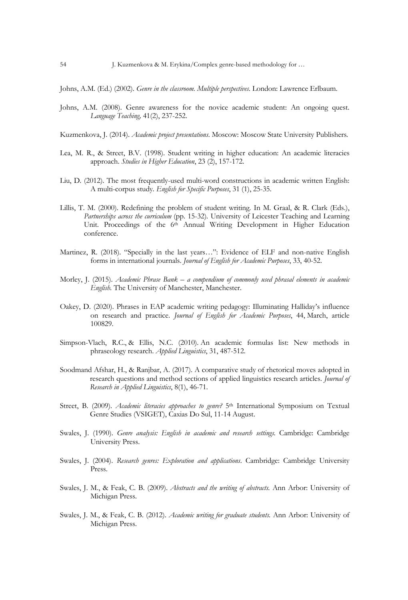Johns, A.M. (Ed.) (2002). *Genre in the classroom. Multiple perspectives.* London: Lawrence Erlbaum.

- Johns, A.M. (2008). Genre awareness for the novice academic student: An ongoing quest. *Language Teaching,* 41(2), 237-252.
- Kuzmenkova, J. (2014). *Academic project presentations*. Moscow: Moscow State University Publishers*.*
- Lea, M. R., & Street, B.V. (1998). Student writing in higher education: An academic literacies approach. *Studies in Higher Education*, 23 (2), 157-172.
- Liu, D. (2012). The most frequently-used multi-word constructions in academic written English: A multi-corpus study*. English for Specific Purposes*, 31 (1), 25-35.
- Lillis, T. M. (2000). Redefining the problem of student writing*.* In M. Graal, & R. Clark (Eds.), *Partnerships across the curriculum* (pp. 15-32)*.* University of Leicester Teaching and Learning Unit. Proceedings of the 6<sup>th</sup> Annual Writing Development in Higher Education conference.
- Martinez, R. (2018). "Specially in the last years…": Evidence of ELF and non-native English forms in international journals. *Journal of English for Academic Purposes*, 33, 40-52.
- Morley, J. (2015). *Academic Phrase Bank – a compendium of commonly used phrasal elements in academic English.* The University of Manchester, Manchester.
- Oakey, D. (2020). Phrases in EAP academic writing pedagogy: Illuminating Halliday's influence on research and practice. *Journal of English for Academic Purposes*, 44, March, article 100829.
- Simpson-Vlach, R.C., & Ellis, N.C. (2010). An academic formulas list: New methods in phraseology research. *Applied Linguistics*, 31, 487-512.
- Soodmand Afshar, H., & Ranjbar, A. (2017). A comparative study of rhetorical moves adopted in research questions and method sections of applied linguistics research articles. *Journal of Research in Applied Linguistics*, 8(1), 46-71.
- Street, B. (2009). *Academic literacies approaches to genre?* 5th International Symposium on Textual Genre Studies (VSIGET), Caxias Do Sul, 11-14 August.
- Swales, J. (1990). *Genre analysis: English in academic and research settings*. Cambridge: Cambridge University Press.
- Swales, J. (2004). *Research genres: Exploration and applications*. Cambridge: Cambridge University Press.
- Swales, J. M., & Feak, C. B. (2009). *Abstracts and the writing of abstracts.* Ann Arbor: University of Michigan Press.
- Swales, J. M., & Feak, C. B. (2012). *Academic writing for graduate students.* Ann Arbor: University of Michigan Press.